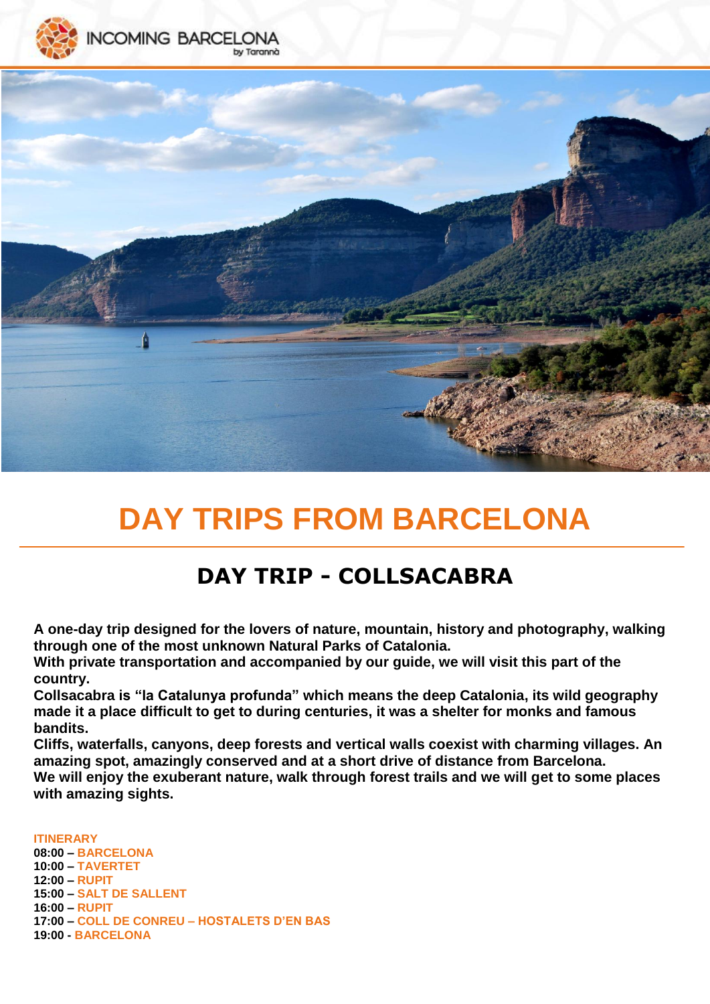



# **DAY TRIPS FROM BARCELONA**

# **DAY TRIP - COLLSACABRA**

**A one-day trip designed for the lovers of nature, mountain, history and photography, walking through one of the most unknown Natural Parks of Catalonia.** 

**With private transportation and accompanied by our guide, we will visit this part of the country.** 

**Collsacabra is "la Catalunya profunda" which means the deep Catalonia, its wild geography made it a place difficult to get to during centuries, it was a shelter for monks and famous bandits.** 

**Cliffs, waterfalls, canyons, deep forests and vertical walls coexist with charming villages. An amazing spot, amazingly conserved and at a short drive of distance from Barcelona.** 

**We will enjoy the exuberant nature, walk through forest trails and we will get to some places with amazing sights.** 

#### **ITINERARY**

**08:00 – BARCELONA 10:00 – TAVERTET 12:00 – RUPIT 15:00 – SALT DE SALLENT 16:00 – RUPIT 17:00 – COLL DE CONREU – HOSTALETS D'EN BAS 19:00 - BARCELONA**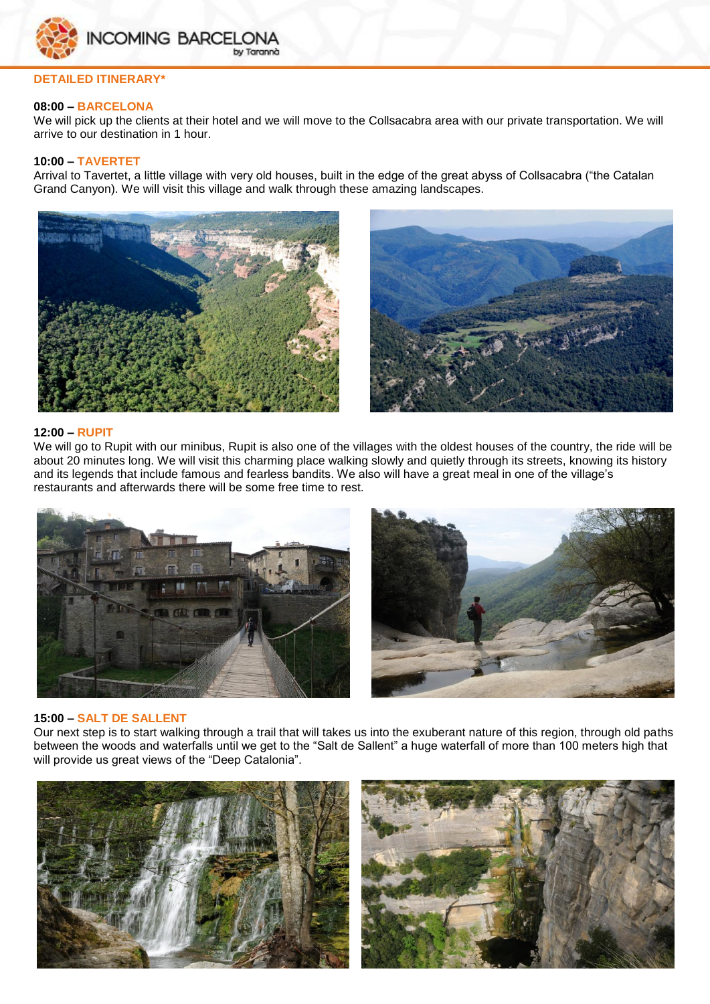

### **DETAILED ITINERARY\***

#### **08:00 – BARCELONA**

We will pick up the clients at their hotel and we will move to the Collsacabra area with our private transportation. We will arrive to our destination in 1 hour.

#### **10:00 – TAVERTET**

Arrival to Tavertet, a little village with very old houses, built in the edge of the great abyss of Collsacabra ("the Catalan Grand Canyon). We will visit this village and walk through these amazing landscapes.





#### **12:00 – RUPIT**

We will go to Rupit with our minibus, Rupit is also one of the villages with the oldest houses of the country, the ride will be about 20 minutes long. We will visit this charming place walking slowly and quietly through its streets, knowing its history and its legends that include famous and fearless bandits. We also will have a great meal in one of the village's restaurants and afterwards there will be some free time to rest.





#### **15:00 – SALT DE SALLENT**

Our next step is to start walking through a trail that will takes us into the exuberant nature of this region, through old paths between the woods and waterfalls until we get to the "Salt de Sallent" a huge waterfall of more than 100 meters high that will provide us great views of the "Deep Catalonia".



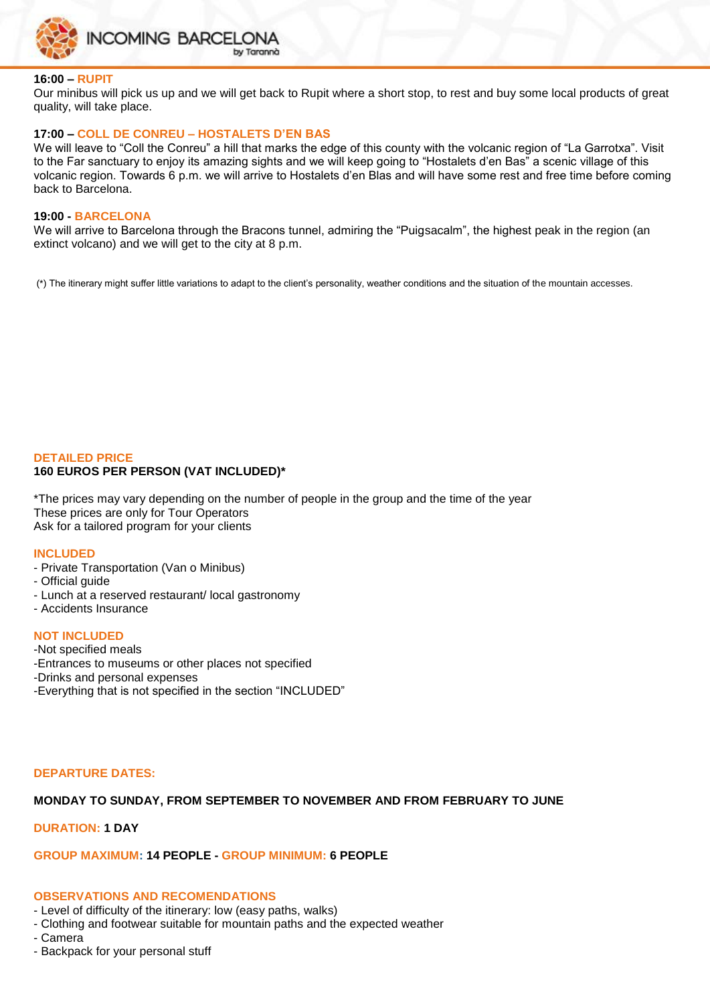

#### **16:00 – RUPIT**

Our minibus will pick us up and we will get back to Rupit where a short stop, to rest and buy some local products of great quality, will take place.

#### **17:00 – COLL DE CONREU – HOSTALETS D'EN BAS**

We will leave to "Coll the Conreu" a hill that marks the edge of this county with the volcanic region of "La Garrotxa". Visit to the Far sanctuary to enjoy its amazing sights and we will keep going to "Hostalets d'en Bas" a scenic village of this volcanic region. Towards 6 p.m. we will arrive to Hostalets d'en Blas and will have some rest and free time before coming back to Barcelona.

#### **19:00 - BARCELONA**

We will arrive to Barcelona through the Bracons tunnel, admiring the "Puigsacalm", the highest peak in the region (an extinct volcano) and we will get to the city at 8 p.m.

(\*) The itinerary might suffer little variations to adapt to the client's personality, weather conditions and the situation of the mountain accesses.

#### **DETAILED PRICE 160 EUROS PER PERSON (VAT INCLUDED)\***

\*The prices may vary depending on the number of people in the group and the time of the year These prices are only for Tour Operators Ask for a tailored program for your clients

#### **INCLUDED**

- Private Transportation (Van o Minibus)
- Official guide
- Lunch at a reserved restaurant/ local gastronomy
- Accidents Insurance

#### **NOT INCLUDED**

- -Not specified meals
- -Entrances to museums or other places not specified
- -Drinks and personal expenses
- -Everything that is not specified in the section "INCLUDED"

# **DEPARTURE DATES:**

# **MONDAY TO SUNDAY, FROM SEPTEMBER TO NOVEMBER AND FROM FEBRUARY TO JUNE**

# **DURATION: 1 DAY**

# **GROUP MAXIMUM: 14 PEOPLE - GROUP MINIMUM: 6 PEOPLE**

# **OBSERVATIONS AND RECOMENDATIONS**

- Level of difficulty of the itinerary: low (easy paths, walks)
- Clothing and footwear suitable for mountain paths and the expected weather
- Camera
- Backpack for your personal stuff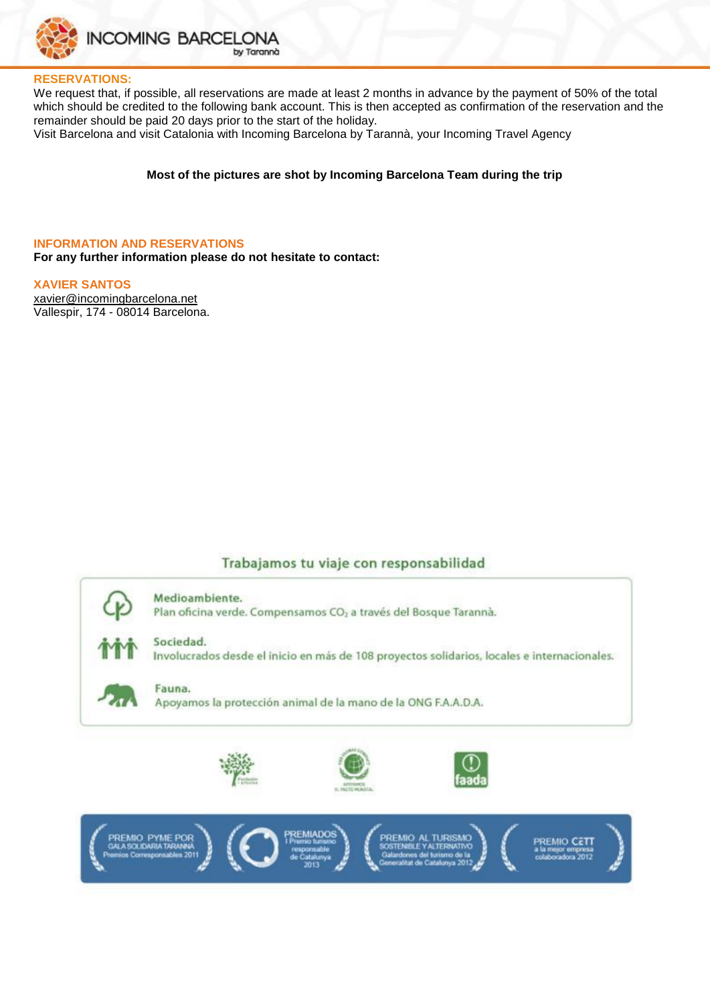

#### **RESERVATIONS:**

We request that, if possible, all reservations are made at least 2 months in advance by the payment of 50% of the total which should be credited to the following bank account. This is then accepted as confirmation of the reservation and the remainder should be paid 20 days prior to the start of the holiday.

Visit Barcelona and visit Catalonia with Incoming Barcelona by Tarannà, your Incoming Travel Agency

#### **Most of the pictures are shot by Incoming Barcelona Team during the trip**

#### **INFORMATION AND RESERVATIONS**

**For any further information please do not hesitate to contact:**

#### **XAVIER SANTOS**

[xavier@incomingbarcelona.net](mailto:xavier@incomingbarcelona.net) Vallespir, 174 - 08014 Barcelona.

#### Trabajamos tu viaje con responsabilidad